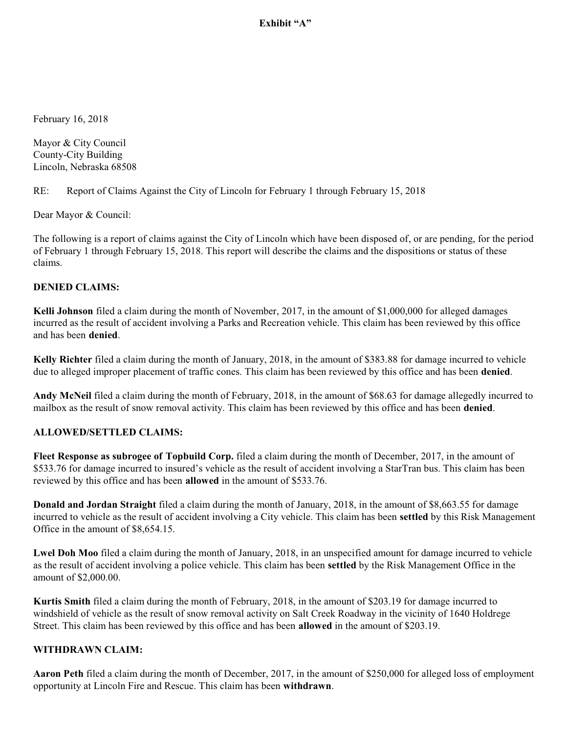### Exhibit "A"

February 16, 2018

Mayor & City Council County-City Building Lincoln, Nebraska 68508

RE: Report of Claims Against the City of Lincoln for February 1 through February 15, 2018

Dear Mayor & Council:

The following is a report of claims against the City of Lincoln which have been disposed of, or are pending, for the period of February 1 through February 15, 2018. This report will describe the claims and the dispositions or status of these claims.

#### **DENIED CLAIMS:**

**Kelli Johnson** filed a claim during the month of November, 2017, in the amount of \$1,000,000 for alleged damages incurred as the result of accident involving a Parks and Recreation vehicle. This claim has been reviewed by this office and has been **denied**.

**Kelly Richter** filed a claim during the month of January, 2018, in the amount of \$383.88 for damage incurred to vehicle due to alleged improper placement of traffic cones. This claim has been reviewed by this office and has been **denied**.

**Andy McNeil** filed a claim during the month of February, 2018, in the amount of \$68.63 for damage allegedly incurred to mailbox as the result of snow removal activity. This claim has been reviewed by this office and has been **denied**.

#### **ALLOWED/SETTLED CLAIMS:**

**Fleet Response as subrogee of Topbuild Corp.** filed a claim during the month of December, 2017, in the amount of \$533.76 for damage incurred to insured's vehicle as the result of accident involving a StarTran bus. This claim has been reviewed by this office and has been **allowed** in the amount of \$533.76.

**Donald and Jordan Straight** filed a claim during the month of January, 2018, in the amount of \$8,663.55 for damage incurred to vehicle as the result of accident involving a City vehicle. This claim has been **settled** by this Risk Management Office in the amount of \$8,654.15.

**Lwel Doh Moo** filed a claim during the month of January, 2018, in an unspecified amount for damage incurred to vehicle as the result of accident involving a police vehicle. This claim has been **settled** by the Risk Management Office in the amount of \$2,000.00.

**Kurtis Smith** filed a claim during the month of February, 2018, in the amount of \$203.19 for damage incurred to windshield of vehicle as the result of snow removal activity on Salt Creek Roadway in the vicinity of 1640 Holdrege Street. This claim has been reviewed by this office and has been **allowed** in the amount of \$203.19.

#### **WITHDRAWN CLAIM:**

**Aaron Peth** filed a claim during the month of December, 2017, in the amount of \$250,000 for alleged loss of employment opportunity at Lincoln Fire and Rescue. This claim has been **withdrawn**.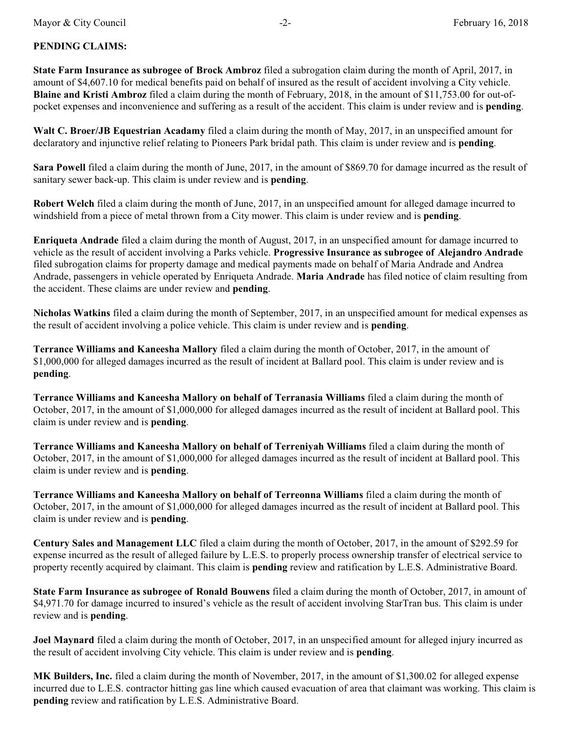## **PENDING CLAIMS:**

**State Farm Insurance as subrogee of Brock Ambroz** filed a subrogation claim during the month of April, 2017, in amount of \$4,607.10 for medical benefits paid on behalf of insured as the result of accident involving a City vehicle. **Blaine and Kristi Ambroz** filed a claim during the month of February, 2018, in the amount of \$11,753.00 for out-ofpocket expenses and inconvenience and suffering as a result of the accident. This claim is under review and is **pending**.

**Walt C. Broer/JB Equestrian Acadamy** filed a claim during the month of May, 2017, in an unspecified amount for declaratory and injunctive relief relating to Pioneers Park bridal path. This claim is under review and is **pending**.

**Sara Powell** filed a claim during the month of June, 2017, in the amount of \$869.70 for damage incurred as the result of sanitary sewer back-up. This claim is under review and is **pending**.

**Robert Welch** filed a claim during the month of June, 2017, in an unspecified amount for alleged damage incurred to windshield from a piece of metal thrown from a City mower. This claim is under review and is **pending**.

**Enriqueta Andrade** filed a claim during the month of August, 2017, in an unspecified amount for damage incurred to vehicle as the result of accident involving a Parks vehicle. **Progressive Insurance as subrogee of Alejandro Andrade** filed subrogation claims for property damage and medical payments made on behalf of Maria Andrade and Andrea Andrade, passengers in vehicle operated by Enriqueta Andrade. **Maria Andrade** has filed notice of claim resulting from the accident. These claims are under review and **pending**.

**Nicholas Watkins** filed a claim during the month of September, 2017, in an unspecified amount for medical expenses as the result of accident involving a police vehicle. This claim is under review and is **pending**.

**Terrance Williams and Kaneesha Mallory** filed a claim during the month of October, 2017, in the amount of \$1,000,000 for alleged damages incurred as the result of incident at Ballard pool. This claim is under review and is **pending**.

**Terrance Williams and Kaneesha Mallory on behalf of Terranasia Williams** filed a claim during the month of October, 2017, in the amount of \$1,000,000 for alleged damages incurred as the result of incident at Ballard pool. This claim is under review and is **pending**.

**Terrance Williams and Kaneesha Mallory on behalf of Terreniyah Williams** filed a claim during the month of October, 2017, in the amount of \$1,000,000 for alleged damages incurred as the result of incident at Ballard pool. This claim is under review and is **pending**.

**Terrance Williams and Kaneesha Mallory on behalf of Terreonna Williams** filed a claim during the month of October, 2017, in the amount of \$1,000,000 for alleged damages incurred as the result of incident at Ballard pool. This claim is under review and is **pending**.

**Century Sales and Management LLC** filed a claim during the month of October, 2017, in the amount of \$292.59 for expense incurred as the result of alleged failure by L.E.S. to properly process ownership transfer of electrical service to property recently acquired by claimant. This claim is **pending** review and ratification by L.E.S. Administrative Board.

**State Farm Insurance as subrogee of Ronald Bouwens** filed a claim during the month of October, 2017, in amount of \$4,971.70 for damage incurred to insured's vehicle as the result of accident involving StarTran bus. This claim is under review and is **pending**.

**Joel Maynard** filed a claim during the month of October, 2017, in an unspecified amount for alleged injury incurred as the result of accident involving City vehicle. This claim is under review and is **pending**.

**MK Builders, Inc.** filed a claim during the month of November, 2017, in the amount of \$1,300.02 for alleged expense incurred due to L.E.S. contractor hitting gas line which caused evacuation of area that claimant was working. This claim is **pending** review and ratification by L.E.S. Administrative Board.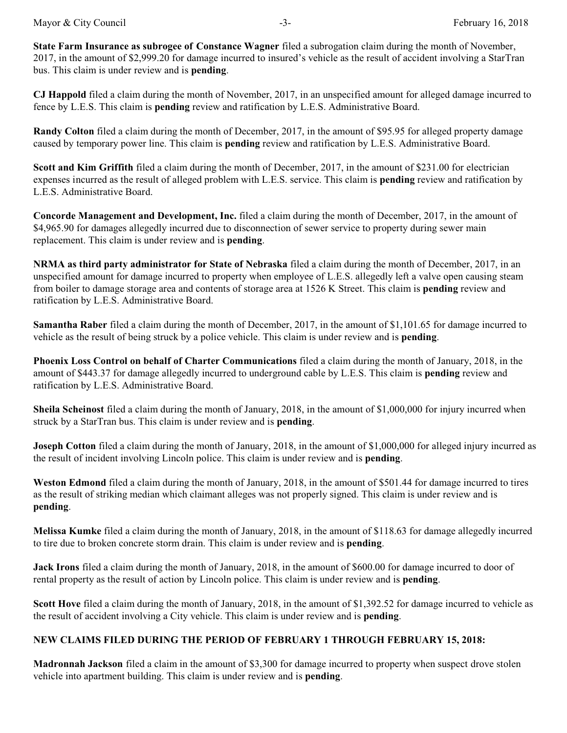**State Farm Insurance as subrogee of Constance Wagner** filed a subrogation claim during the month of November, 2017, in the amount of \$2,999.20 for damage incurred to insured's vehicle as the result of accident involving a StarTran bus. This claim is under review and is **pending**.

**CJ Happold** filed a claim during the month of November, 2017, in an unspecified amount for alleged damage incurred to fence by L.E.S. This claim is **pending** review and ratification by L.E.S. Administrative Board.

**Randy Colton** filed a claim during the month of December, 2017, in the amount of \$95.95 for alleged property damage caused by temporary power line. This claim is **pending** review and ratification by L.E.S. Administrative Board.

**Scott and Kim Griffith** filed a claim during the month of December, 2017, in the amount of \$231.00 for electrician expenses incurred as the result of alleged problem with L.E.S. service. This claim is **pending** review and ratification by L.E.S. Administrative Board.

**Concorde Management and Development, Inc.** filed a claim during the month of December, 2017, in the amount of \$4,965.90 for damages allegedly incurred due to disconnection of sewer service to property during sewer main replacement. This claim is under review and is **pending**.

**NRMA as third party administrator for State of Nebraska** filed a claim during the month of December, 2017, in an unspecified amount for damage incurred to property when employee of L.E.S. allegedly left a valve open causing steam from boiler to damage storage area and contents of storage area at 1526 K Street. This claim is **pending** review and ratification by L.E.S. Administrative Board.

**Samantha Raber** filed a claim during the month of December, 2017, in the amount of \$1,101.65 for damage incurred to vehicle as the result of being struck by a police vehicle. This claim is under review and is **pending**.

**Phoenix Loss Control on behalf of Charter Communications** filed a claim during the month of January, 2018, in the amount of \$443.37 for damage allegedly incurred to underground cable by L.E.S. This claim is **pending** review and ratification by L.E.S. Administrative Board.

**Sheila Scheinost** filed a claim during the month of January, 2018, in the amount of \$1,000,000 for injury incurred when struck by a StarTran bus. This claim is under review and is **pending**.

**Joseph Cotton** filed a claim during the month of January, 2018, in the amount of \$1,000,000 for alleged injury incurred as the result of incident involving Lincoln police. This claim is under review and is **pending**.

**Weston Edmond** filed a claim during the month of January, 2018, in the amount of \$501.44 for damage incurred to tires as the result of striking median which claimant alleges was not properly signed. This claim is under review and is **pending**.

**Melissa Kumke** filed a claim during the month of January, 2018, in the amount of \$118.63 for damage allegedly incurred to tire due to broken concrete storm drain. This claim is under review and is **pending**.

**Jack Irons** filed a claim during the month of January, 2018, in the amount of \$600.00 for damage incurred to door of rental property as the result of action by Lincoln police. This claim is under review and is **pending**.

**Scott Hove** filed a claim during the month of January, 2018, in the amount of \$1,392.52 for damage incurred to vehicle as the result of accident involving a City vehicle. This claim is under review and is **pending**.

#### **NEW CLAIMS FILED DURING THE PERIOD OF FEBRUARY 1 THROUGH FEBRUARY 15, 2018:**

**Madronnah Jackson** filed a claim in the amount of \$3,300 for damage incurred to property when suspect drove stolen vehicle into apartment building. This claim is under review and is **pending**.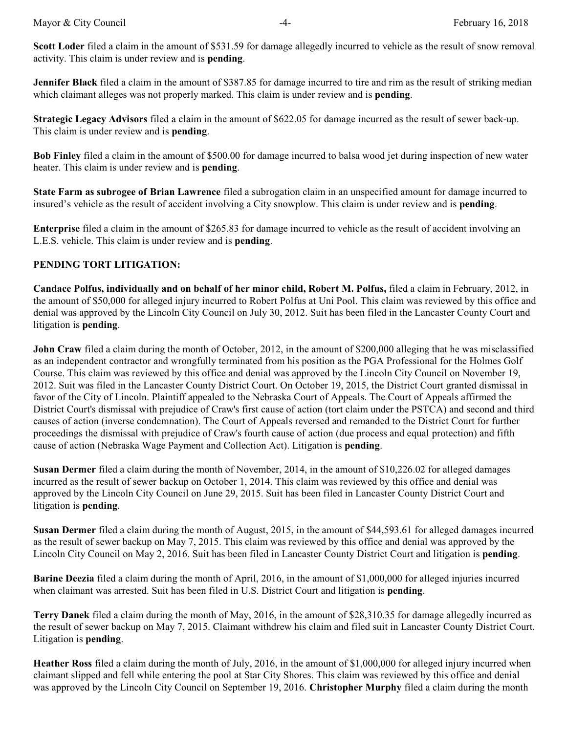**Scott Loder** filed a claim in the amount of \$531.59 for damage allegedly incurred to vehicle as the result of snow removal activity. This claim is under review and is **pending**.

**Jennifer Black** filed a claim in the amount of \$387.85 for damage incurred to tire and rim as the result of striking median which claimant alleges was not properly marked. This claim is under review and is **pending**.

**Strategic Legacy Advisors** filed a claim in the amount of \$622.05 for damage incurred as the result of sewer back-up. This claim is under review and is **pending**.

**Bob Finley** filed a claim in the amount of \$500.00 for damage incurred to balsa wood jet during inspection of new water heater. This claim is under review and is **pending**.

**State Farm as subrogee of Brian Lawrence** filed a subrogation claim in an unspecified amount for damage incurred to insured's vehicle as the result of accident involving a City snowplow. This claim is under review and is **pending**.

**Enterprise** filed a claim in the amount of \$265.83 for damage incurred to vehicle as the result of accident involving an L.E.S. vehicle. This claim is under review and is **pending**.

# **PENDING TORT LITIGATION:**

**Candace Polfus, individually and on behalf of her minor child, Robert M. Polfus,** filed a claim in February, 2012, in the amount of \$50,000 for alleged injury incurred to Robert Polfus at Uni Pool. This claim was reviewed by this office and denial was approved by the Lincoln City Council on July 30, 2012. Suit has been filed in the Lancaster County Court and litigation is **pending**.

**John Craw** filed a claim during the month of October, 2012, in the amount of \$200,000 alleging that he was misclassified as an independent contractor and wrongfully terminated from his position as the PGA Professional for the Holmes Golf Course. This claim was reviewed by this office and denial was approved by the Lincoln City Council on November 19, 2012. Suit was filed in the Lancaster County District Court. On October 19, 2015, the District Court granted dismissal in favor of the City of Lincoln. Plaintiff appealed to the Nebraska Court of Appeals. The Court of Appeals affirmed the District Court's dismissal with prejudice of Craw's first cause of action (tort claim under the PSTCA) and second and third causes of action (inverse condemnation). The Court of Appeals reversed and remanded to the District Court for further proceedings the dismissal with prejudice of Craw's fourth cause of action (due process and equal protection) and fifth cause of action (Nebraska Wage Payment and Collection Act). Litigation is **pending**.

**Susan Dermer** filed a claim during the month of November, 2014, in the amount of \$10,226.02 for alleged damages incurred as the result of sewer backup on October 1, 2014. This claim was reviewed by this office and denial was approved by the Lincoln City Council on June 29, 2015. Suit has been filed in Lancaster County District Court and litigation is **pending**.

**Susan Dermer** filed a claim during the month of August, 2015, in the amount of \$44,593.61 for alleged damages incurred as the result of sewer backup on May 7, 2015. This claim was reviewed by this office and denial was approved by the Lincoln City Council on May 2, 2016. Suit has been filed in Lancaster County District Court and litigation is **pending**.

**Barine Deezia** filed a claim during the month of April, 2016, in the amount of \$1,000,000 for alleged injuries incurred when claimant was arrested. Suit has been filed in U.S. District Court and litigation is **pending**.

**Terry Danek** filed a claim during the month of May, 2016, in the amount of \$28,310.35 for damage allegedly incurred as the result of sewer backup on May 7, 2015. Claimant withdrew his claim and filed suit in Lancaster County District Court. Litigation is **pending**.

**Heather Ross** filed a claim during the month of July, 2016, in the amount of \$1,000,000 for alleged injury incurred when claimant slipped and fell while entering the pool at Star City Shores. This claim was reviewed by this office and denial was approved by the Lincoln City Council on September 19, 2016. **Christopher Murphy** filed a claim during the month